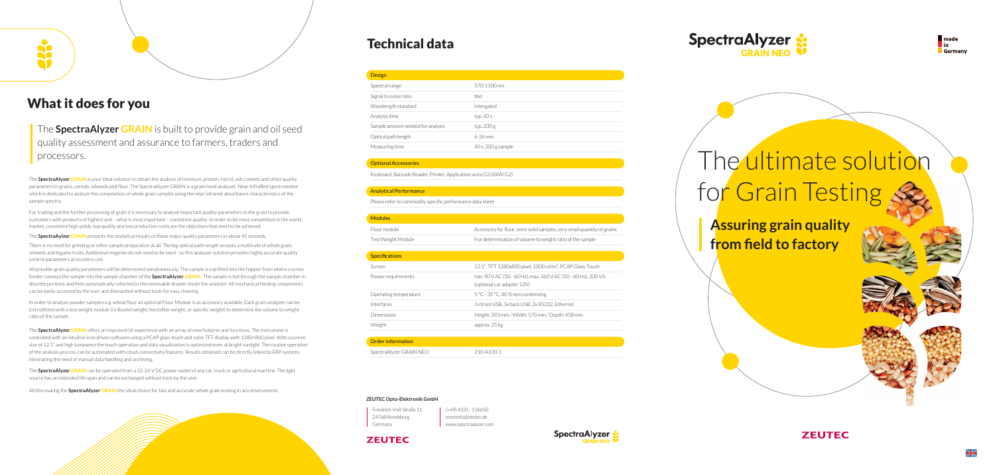# The ultimate solution for Grain Testing

### What it does for you

### The **SpectraAlyzer GRAIN** is built to provide grain and oil seed quality assessment and assurance to farmers, traders and processors.

### Technical data

| 570-1100    |
|-------------|
| thd         |
| intergated  |
| typ. 40 s   |
| typ. 200 g  |
| 6-36 mm     |
| 40 s. 200 s |
|             |

### Optional Accessories

Keyboard, Barcode Reader, Printer, Application worx G2 (AWX G2)

### Specifications Screen Power requirements Operating temperature Interfaces Dimensions Weight approx. 25 kg

#### Analytical Performance

Please refer to commodity specific performance data sheet



Height: 393 mm / Width: 570 mm / Depth: 458 mm

| $210 - A100 - 1$ |
|------------------|
|                  |

| <b>Modules</b>     |            |
|--------------------|------------|
| Flour module       | Accessory  |
| Test Weight Module | For deterr |

| Friedrich-Voß-Straße 11 |
|-------------------------|
| 24768 Rendsburg         |
| Germany                 |

(+49) 4331 - 136650 moreinfo@zeutec.de www.spectraalyzer.com

### **ZEUTEC**





#### **ZEUTEC Opto-Elektronik GmbH**

The **SpectraAylzer GRAIN** presents the analytical results of these major quality parameters in about 45 seconds.

The **SpectraAlyzer GRAIN** is your ideal solution to obtain the analysis of moisture, protein, fat/oil, ash content and other quality parameters in grains, cereals, oilseeds and flour. The SpectraAlyzer GRAIN is a grain/seed analyzer, Near-InfraRed spectrometer which is dedicated to analyze the composition of whole grain samples using the near infrared absorbance characteristics of the sample spectra.

For trading and the further processing of grain it is necessary to analyze important quality parameters in the grain to provide customers with products of highest and – what is most important – consistent quality. In order to be most competitive in the world market, consistent high yields, top quality and low production costs are the objectives that need to be achieved.

There is no need for grinding or other sample preparation at all. The big optical path-length accepts a multitude of whole grain, oilseeds and legume fruits. Additional reagents do not need to be used - so this analyzer solution provides highly accurate quality control parameters at no extra cost.

All possible grain quality parameters will be determined simultaneously. The sample is top filled into the hopper from where a screw feeder conveys the sample into the sample chamber of the **SpectraAlyzer GRAIN** . The sample is fed through the sample chamber in discrete portions and then automatically collected in the removable drawer inside the analyser. All mechanical feeding components can be easily accessed by the user and dismantled without tools for easy cleaning.

In order to analyze powder samples e.g. wheat flour an optional Flour Module is as accessory available. Each grain analyzer can be (retro)fitted with a test weight module (i.e Bushel weight, hectoliter weight, or specific weight) to determine the volume to weight ratio of the sample.

The **SpectraAlyzer GRAIN** offers an improved UI experience with an array of new features and functions. The instrument is controlled with an intuitive icon driven software using a PCAP glass touch and color TFT display with 1280×800 pixel. With a screen size of 12.1" and high luminance the touch operation and data visualization is optimized even at bright sunlight. The routine operation of the analysis process can be automated with cloud connectivity features. Results obtained can be directly linked to ERP systems eliminating the need of manual data handling and archiving.

The **SpectraAlyzer GRAIN** can be operated from a 12-24 V DC power outlet of any car, truck or agricultural machine. The light source has an extended life span and can be exchanged without tools by the user.

All this making the **SpectraAlyzer GRAIN** the ideal choice for fast and accurate whole grain testing in any environment.

**Assuring grain quality from field to factory**



**ZEUTEC**